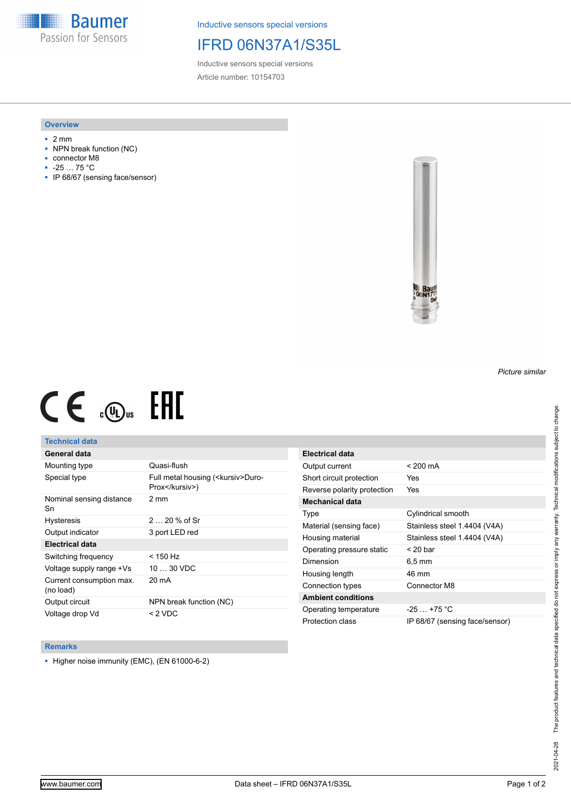**Baumer** Passion for Sensors

Inductive sensors special versions

# IFRD 06N37A1/S35L

Inductive sensors special versions Article number: 10154703

### **Overview**

- 2 mm
- NPN break function (NC)
- connector M8
- -25 … 75 °C
- IP 68/67 (sensing face/sensor)



# $CE \mathcal{L}$  ( $\mathcal{L}$  and  $SE$

## **Technical data**

## **General data**

| Mounting type                         | Quasi-flush                                            |
|---------------------------------------|--------------------------------------------------------|
| Special type                          | Full metal housing ( <kursiv>Duro-<br/>Prox</kursiv> ) |
| Nominal sensing distance<br>Sn        | $2 \text{ mm}$                                         |
| <b>Hysteresis</b>                     | $220%$ of Sr                                           |
| Output indicator                      | 3 port LED red                                         |
| Electrical data                       |                                                        |
| Switching frequency                   | < 150 Hz                                               |
| Voltage supply range +Vs              | $1030$ VDC                                             |
| Current consumption max.<br>(no load) | 20 mA                                                  |
| Output circuit                        | NPN break function (NC)                                |
| Voltage drop Vd                       | < 2 VDC                                                |

| Electrical data             |                                |
|-----------------------------|--------------------------------|
| Output current              | $< 200 \text{ mA}$             |
| Short circuit protection    | Yes                            |
| Reverse polarity protection | Yes                            |
| Mechanical data             |                                |
| Type                        | Cylindrical smooth             |
| Material (sensing face)     | Stainless steel 1.4404 (V4A)   |
| Housing material            | Stainless steel 1.4404 (V4A)   |
| Operating pressure static   | $<$ 20 bar                     |
| Dimension                   | $6.5 \,\mathrm{mm}$            |
| Housing length              | 46 mm                          |
| Connection types            | Connector M8                   |
| <b>Ambient conditions</b>   |                                |
| Operating temperature       | $-25 + 75$ °C                  |
| Protection class            | IP 68/67 (sensing face/sensor) |

#### **Remarks**

■ Higher noise immunity (EMC), (EN 61000-6-2)

*Picture similar*